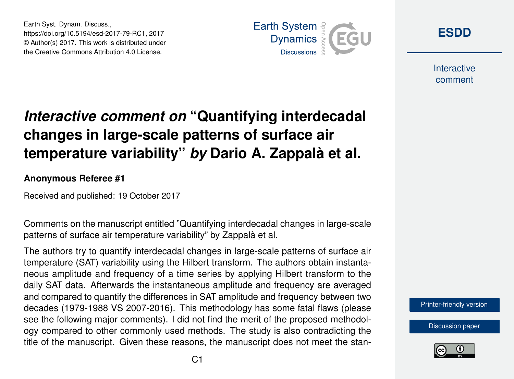Earth Syst. Dynam. Discuss., https://doi.org/10.5194/esd-2017-79-RC1, 2017 © Author(s) 2017. This work is distributed under the Creative Commons Attribution 4.0 License.



**[ESDD](https://www.earth-syst-dynam-discuss.net/)**

**Interactive** comment

# *Interactive comment on* **"Quantifying interdecadal changes in large-scale patterns of surface air temperature variability"** *by* **Dario A. Zappalà et al.**

#### **Anonymous Referee #1**

Received and published: 19 October 2017

Comments on the manuscript entitled "Quantifying interdecadal changes in large-scale patterns of surface air temperature variability" by Zappalà et al.

The authors try to quantify interdecadal changes in large-scale patterns of surface air temperature (SAT) variability using the Hilbert transform. The authors obtain instantaneous amplitude and frequency of a time series by applying Hilbert transform to the daily SAT data. Afterwards the instantaneous amplitude and frequency are averaged and compared to quantify the differences in SAT amplitude and frequency between two decades (1979-1988 VS 2007-2016). This methodology has some fatal flaws (please see the following major comments). I did not find the merit of the proposed methodology compared to other commonly used methods. The study is also contradicting the title of the manuscript. Given these reasons, the manuscript does not meet the stan-



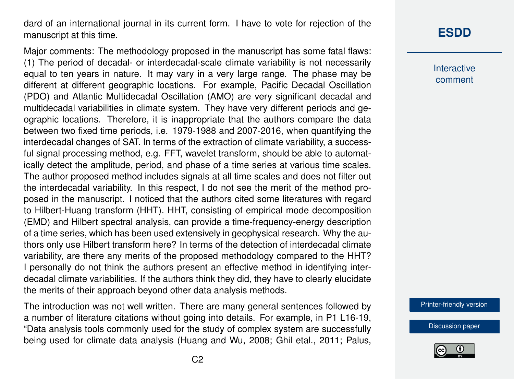dard of an international journal in its current form. I have to vote for rejection of the manuscript at this time.

Major comments: The methodology proposed in the manuscript has some fatal flaws: (1) The period of decadal- or interdecadal-scale climate variability is not necessarily equal to ten years in nature. It may vary in a very large range. The phase may be different at different geographic locations. For example, Pacific Decadal Oscillation (PDO) and Atlantic Multidecadal Oscillation (AMO) are very significant decadal and multidecadal variabilities in climate system. They have very different periods and geographic locations. Therefore, it is inappropriate that the authors compare the data between two fixed time periods, i.e. 1979-1988 and 2007-2016, when quantifying the interdecadal changes of SAT. In terms of the extraction of climate variability, a successful signal processing method, e.g. FFT, wavelet transform, should be able to automatically detect the amplitude, period, and phase of a time series at various time scales. The author proposed method includes signals at all time scales and does not filter out the interdecadal variability. In this respect, I do not see the merit of the method proposed in the manuscript. I noticed that the authors cited some literatures with regard to Hilbert-Huang transform (HHT). HHT, consisting of empirical mode decomposition (EMD) and Hilbert spectral analysis, can provide a time-frequency-energy description of a time series, which has been used extensively in geophysical research. Why the authors only use Hilbert transform here? In terms of the detection of interdecadal climate variability, are there any merits of the proposed methodology compared to the HHT? I personally do not think the authors present an effective method in identifying interdecadal climate variabilities. If the authors think they did, they have to clearly elucidate the merits of their approach beyond other data analysis methods.

The introduction was not well written. There are many general sentences followed by a number of literature citations without going into details. For example, in P1 L16-19, "Data analysis tools commonly used for the study of complex system are successfully being used for climate data analysis (Huang and Wu, 2008; Ghil etal., 2011; Palus,

# **[ESDD](https://www.earth-syst-dynam-discuss.net/)**

**Interactive** comment

[Printer-friendly version](https://www.earth-syst-dynam-discuss.net/esd-2017-79/esd-2017-79-RC1-print.pdf)

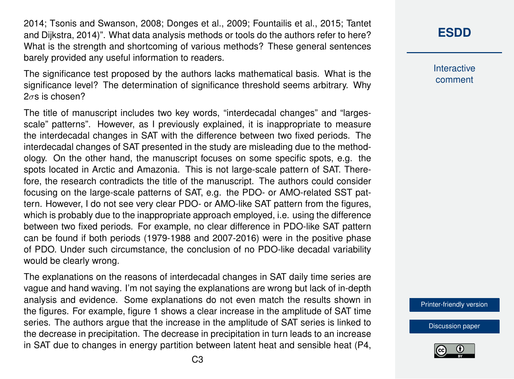2014; Tsonis and Swanson, 2008; Donges et al., 2009; Fountailis et al., 2015; Tantet and Dijkstra, 2014)". What data analysis methods or tools do the authors refer to here? What is the strength and shortcoming of various methods? These general sentences barely provided any useful information to readers.

The significance test proposed by the authors lacks mathematical basis. What is the significance level? The determination of significance threshold seems arbitrary. Why  $2\sigma s$  is chosen?

The title of manuscript includes two key words, "interdecadal changes" and "largesscale" patterns". However, as I previously explained, it is inappropriate to measure the interdecadal changes in SAT with the difference between two fixed periods. The interdecadal changes of SAT presented in the study are misleading due to the methodology. On the other hand, the manuscript focuses on some specific spots, e.g. the spots located in Arctic and Amazonia. This is not large-scale pattern of SAT. Therefore, the research contradicts the title of the manuscript. The authors could consider focusing on the large-scale patterns of SAT, e.g. the PDO- or AMO-related SST pattern. However, I do not see very clear PDO- or AMO-like SAT pattern from the figures, which is probably due to the inappropriate approach employed, i.e. using the difference between two fixed periods. For example, no clear difference in PDO-like SAT pattern can be found if both periods (1979-1988 and 2007-2016) were in the positive phase of PDO. Under such circumstance, the conclusion of no PDO-like decadal variability would be clearly wrong.

The explanations on the reasons of interdecadal changes in SAT daily time series are vague and hand waving. I'm not saying the explanations are wrong but lack of in-depth analysis and evidence. Some explanations do not even match the results shown in the figures. For example, figure 1 shows a clear increase in the amplitude of SAT time series. The authors argue that the increase in the amplitude of SAT series is linked to the decrease in precipitation. The decrease in precipitation in turn leads to an increase in SAT due to changes in energy partition between latent heat and sensible heat (P4,

### **[ESDD](https://www.earth-syst-dynam-discuss.net/)**

**Interactive** comment

[Printer-friendly version](https://www.earth-syst-dynam-discuss.net/esd-2017-79/esd-2017-79-RC1-print.pdf)